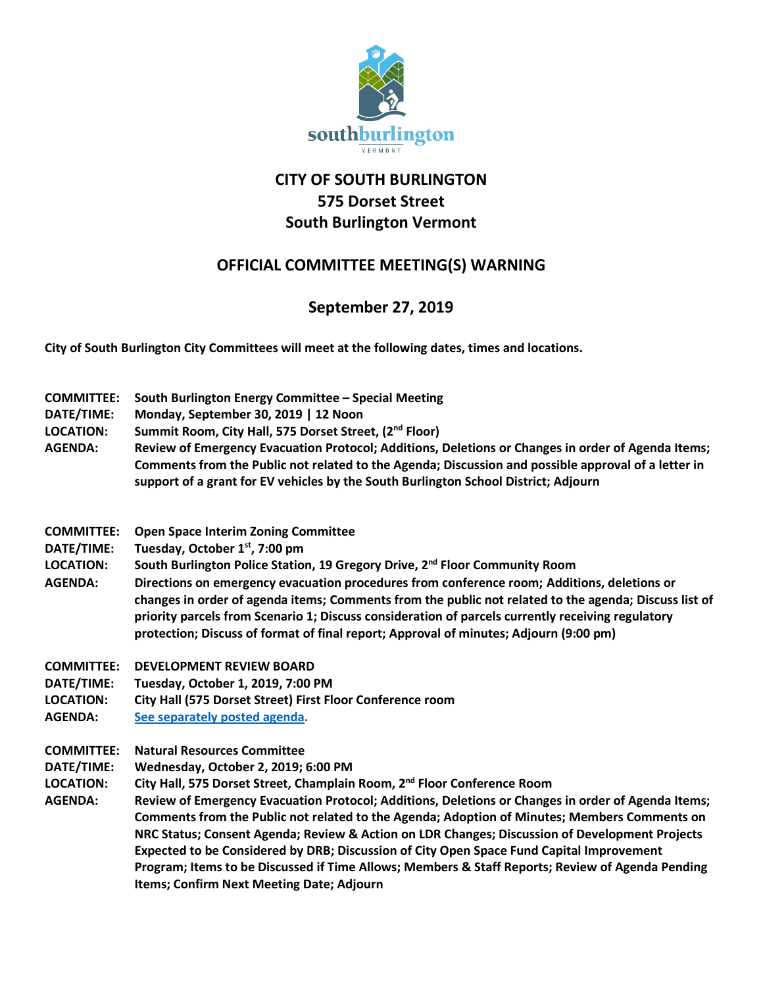

## **CITY OF SOUTH BURLINGTON 575 Dorset Street South Burlington Vermont**

## **OFFICIAL COMMITTEE MEETING(S) WARNING**

## **September 27, 2019**

**City of South Burlington City Committees will meet at the following dates, times and locations.** 

- **COMMITTEE: South Burlington Energy Committee – Special Meeting**
- **DATE/TIME: Monday, September 30, 2019 | 12 Noon**
- **LOCATION: Summit Room, City Hall, 575 Dorset Street, (2nd Floor)**
- **AGENDA: Review of Emergency Evacuation Protocol; Additions, Deletions or Changes in order of Agenda Items; Comments from the Public not related to the Agenda; Discussion and possible approval of a letter in support of a grant for EV vehicles by the South Burlington School District; Adjourn**
- **COMMITTEE: Open Space Interim Zoning Committee**
- **DATE/TIME: Tuesday, October 1st, 7:00 pm**
- **LOCATION: South Burlington Police Station, 19 Gregory Drive, 2nd Floor Community Room**
- **AGENDA: Directions on emergency evacuation procedures from conference room; Additions, deletions or changes in order of agenda items; Comments from the public not related to the agenda; Discuss list of priority parcels from Scenario 1; Discuss consideration of parcels currently receiving regulatory protection; Discuss of format of final report; Approval of minutes; Adjourn (9:00 pm)**
- **COMMITTEE: DEVELOPMENT REVIEW BOARD**
- **DATE/TIME: Tuesday, October 1, 2019, 7:00 PM**
- **LOCATION: City Hall (575 Dorset Street) First Floor Conference room**
- **AGENDA: [See separately posted agenda.](http://sbvt-records.info/WebLink/ElectronicFile.aspx?docid=60775&dbid=0&repo=sburl)**
- **COMMITTEE: Natural Resources Committee**
- **DATE/TIME: Wednesday, October 2, 2019; 6:00 PM**
- **LOCATION: City Hall, 575 Dorset Street, Champlain Room, 2nd Floor Conference Room**
- **AGENDA: Review of Emergency Evacuation Protocol; Additions, Deletions or Changes in order of Agenda Items; Comments from the Public not related to the Agenda; Adoption of Minutes; Members Comments on NRC Status; Consent Agenda; Review & Action on LDR Changes; Discussion of Development Projects Expected to be Considered by DRB; Discussion of City Open Space Fund Capital Improvement Program; Items to be Discussed if Time Allows; Members & Staff Reports; Review of Agenda Pending Items; Confirm Next Meeting Date; Adjourn**